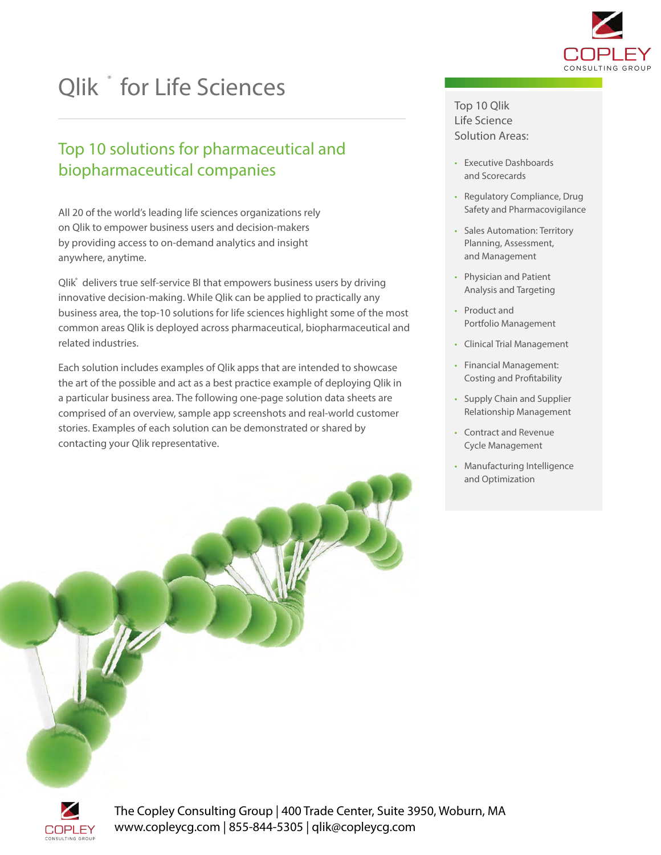

# Qlik \* for Life Sciences

### Top 10 solutions for pharmaceutical and biopharmaceutical companies

All 20 of the world's leading life sciences organizations rely on Qlik to empower business users and decision-makers by providing access to on-demand analytics and insight anywhere, anytime.

Qlik<sup>®</sup> delivers true self-service BI that empowers business users by driving innovative decision-making. While Qlik can be applied to practically any business area, the top-10 solutions for life sciences highlight some of the most common areas Qlik is deployed across pharmaceutical, biopharmaceutical and related industries.

Each solution includes examples of Qlik apps that are intended to showcase the art of the possible and act as a best practice example of deploying Qlik in a particular business area. The following one-page solution data sheets are comprised of an overview, sample app screenshots and real-world customer stories. Examples of each solution can be demonstrated or shared by contacting your Qlik representative.

#### Top 10 Qlik Life Science Solution Areas:

- Executive Dashboards and Scorecards
- Regulatory Compliance, Drug Safety and Pharmacovigilance
- Sales Automation: Territory Planning, Assessment, and Management
- Physician and Patient Analysis and Targeting
- Product and Portfolio Management
- Clinical Trial Management
- Financial Management: Costing and Profitability
- Supply Chain and Supplier Relationship Management
- Contract and Revenue Cycle Management
- Manufacturing Intelligence and Optimization

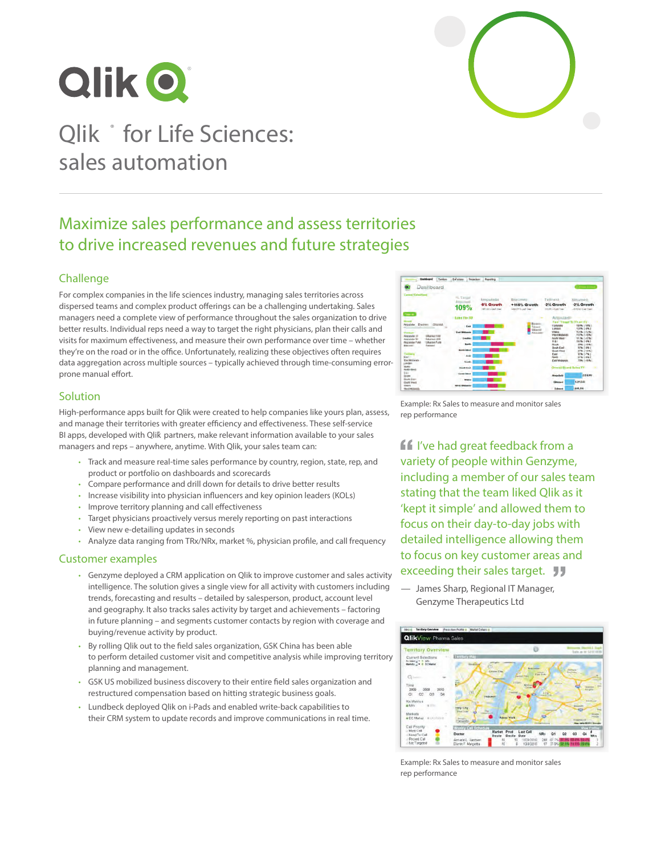



### Maximize sales performance and assess territories to drive increased revenues and future strategies

#### Challenge

For complex companies in the life sciences industry, managing sales territories across dispersed teams and complex product offerings can be a challenging undertaking. Sales managers need a complete view of performance throughout the sales organization to drive better results. Individual reps need a way to target the right physicians, plan their calls and visits for maximum effectiveness, and measure their own performance over time – whether they're on the road or in the office. Unfortunately, realizing these objectives often requires data aggregation across multiple sources – typically achieved through time-consuming errorprone manual effort.

#### **Solution**

High-performance apps built for Qlik were created to help companies like yours plan, assess, and manage their territories with greater efficiency and effectiveness. These self-service BI apps, developed with Qlik partners, make relevant information available to your sales managers and reps – anywhere, anytime. With Qlik, your sales team can:

- Track and measure real-time sales performance by country, region, state, rep, and product or portfolio on dashboards and scorecards
- Compare performance and drill down for details to drive better results
- Increase visibility into physician influencers and key opinion leaders (KOLs)
- Improve territory planning and call effectiveness
- Target physicians proactively versus merely reporting on past interactions
- View new e-detailing updates in seconds
- Analyze data ranging from TRx/NRx, market %, physician profile, and call frequency

#### Customer examples

- Genzyme deployed a CRM application on Qlik to improve customer and sales activity intelligence. The solution gives a single view for all activity with customers including trends, forecasting and results – detailed by salesperson, product, account level and geography. It also tracks sales activity by target and achievements – factoring in future planning – and segments customer contacts by region with coverage and buying/revenue activity by product.
- By rolling Qlik out to the field sales organization, GSK China has been able to perform detailed customer visit and competitive analysis while improving territory planning and management.
- GSK US mobilized business discovery to their entire field sales organization and restructured compensation based on hitting strategic business goals.
- Lundbeck deployed Qlik on i-Pads and enabled write-back capabilities to their CRM system to update records and improve communications in real time.



Example: Rx Sales to measure and monitor sales rep performance

**If** I've had great feedback from a variety of people within Genzyme, including a member of our sales team stating that the team liked Qlik as it 'kept it simple' and allowed them to focus on their day-to-day jobs with detailed intelligence allowing them to focus on key customer areas and exceeding their sales target. **JJ** 

— James Sharp, Regional IT Manager, Genzyme Therapeutics Ltd



Example: Rx Sales to measure and monitor sales rep performance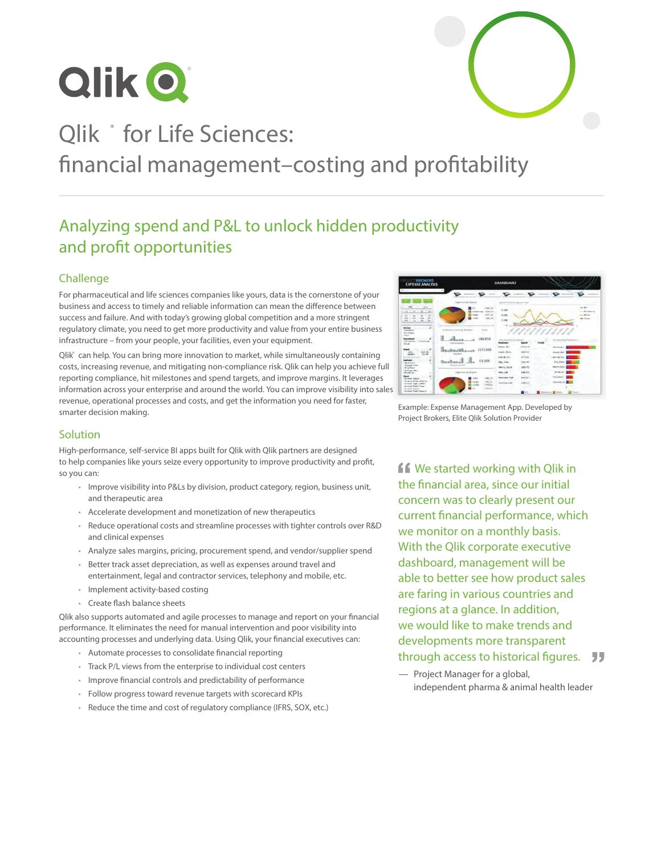

# Qlik \* for Life Sciences: financial management–costing and profitability

# Analyzing spend and P&L to unlock hidden productivity and profit opportunities

#### Challenge

For pharmaceutical and life sciences companies like yours, data is the cornerstone of your business and access to timely and reliable information can mean the difference between success and failure. And with today's growing global competition and a more stringent regulatory climate, you need to get more productivity and value from your entire business infrastructure – from your people, your facilities, even your equipment.

Qlik® can help. You can bring more innovation to market, while simultaneously containing costs, increasing revenue, and mitigating non-compliance risk. Qlik can help you achieve full reporting compliance, hit milestones and spend targets, and improve margins. It leverages information across your enterprise and around the world. You can improve visibility into sales revenue, operational processes and costs, and get the information you need for faster, smarter decision making.



Example: Expense Management App. Developed by Project Brokers, Elite Qlik Solution Provider

### Solution

High-performance, self-service BI apps built for Qlik with Qlik partners are designed to help companies like yours seize every opportunity to improve productivity and profit, so you can:

- Improve visibility into P&Ls by division, product category, region, business unit, and therapeutic area
- Accelerate development and monetization of new therapeutics
- Reduce operational costs and streamline processes with tighter controls over R&D and clinical expenses
- Analyze sales margins, pricing, procurement spend, and vendor/supplier spend
- Better track asset depreciation, as well as expenses around travel and entertainment, legal and contractor services, telephony and mobile, etc.
- Implement activity-based costing
- Create flash balance sheets

Qlik also supports automated and agile processes to manage and report on your financial performance. It eliminates the need for manual intervention and poor visibility into accounting processes and underlying data. Using Qlik, your financial executives can:

- Automate processes to consolidate financial reporting
- Track P/L views from the enterprise to individual cost centers
- Improve financial controls and predictability of performance
- Follow progress toward revenue targets with scorecard KPIs
- Reduce the time and cost of regulatory compliance (IFRS, SOX, etc.)

**ff** We started working with Qlik in the financial area, since our initial concern was to clearly present our current financial performance, which we monitor on a monthly basis. With the Qlik corporate executive dashboard, management will be able to better see how product sales are faring in various countries and regions at a glance. In addition, we would like to make trends and developments more transparent through access to historical figures. **JJ** 

— Project Manager for a global, independent pharma & animal health leader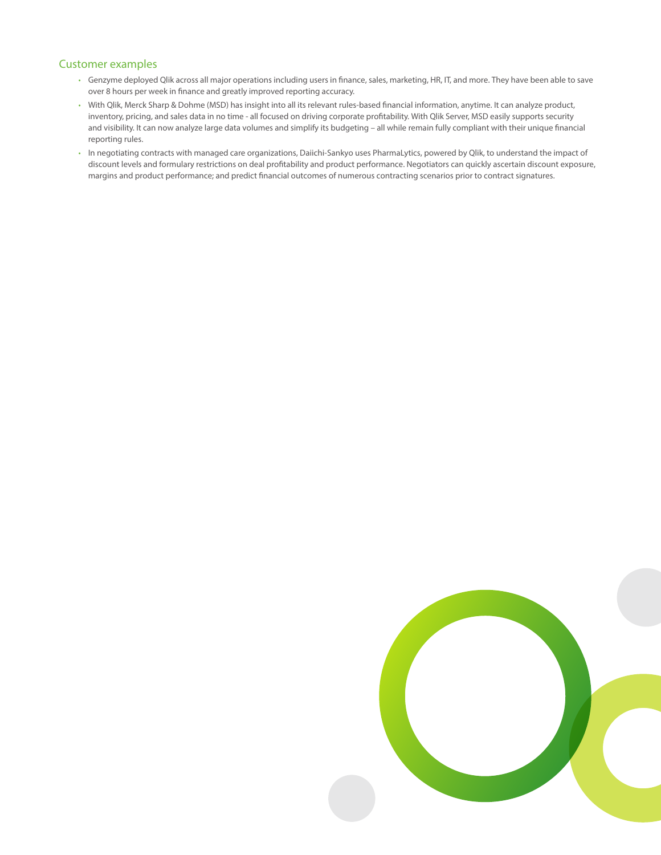#### Customer examples

- Genzyme deployed Qlik across all major operations including users in finance, sales, marketing, HR, IT, and more. They have been able to save over 8 hours per week in finance and greatly improved reporting accuracy.
- With Qlik, Merck Sharp & Dohme (MSD) has insight into all its relevant rules-based financial information, anytime. It can analyze product, inventory, pricing, and sales data in no time - all focused on driving corporate profitability. With Qlik Server, MSD easily supports security and visibility. It can now analyze large data volumes and simplify its budgeting – all while remain fully compliant with their unique financial reporting rules.
- In negotiating contracts with managed care organizations, Daiichi-Sankyo uses PharmaLytics, powered by Qlik, to understand the impact of discount levels and formulary restrictions on deal profitability and product performance. Negotiators can quickly ascertain discount exposure, margins and product performance; and predict financial outcomes of numerous contracting scenarios prior to contract signatures.

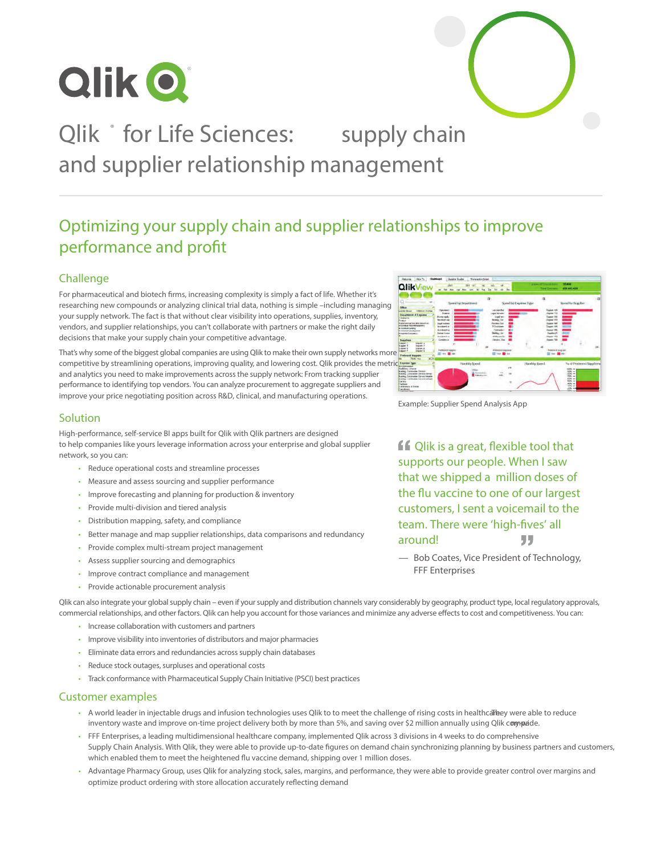



# Qlik \* for Life Sciences: supply chain and supplier relationship management

### Optimizing your supply chain and supplier relationships to improve performance and profit

#### Challenge

For pharmaceutical and biotech firms, increasing complexity is simply a fact of life. Whether it's researching new compounds or analyzing clinical trial data, nothing is simple –including managing your supply network. The fact is that without clear visibility into operations, supplies, inventory, vendors, and supplier relationships, you can't collaborate with partners or make the right daily decisions that make your supply chain your competitive advantage.

That's why some of the biggest global companies are using Qlik to make their own supply networks more competitive by streamlining operations, improving quality, and lowering cost. Qlik provides the metrics and the metrics and analytics you need to make improvements across the supply network: From tracking supplier performance to identifying top vendors. You can analyze procurement to aggregate suppliers and improve your price negotiating position across R&D, clinical, and manufacturing operations.

#### **Solution**

High-performance, self-service BI apps built for Qlik with Qlik partners are designed to help companies like yours leverage information across your enterprise and global supplier network, so you can:

- Reduce operational costs and streamline processes
- Measure and assess sourcing and supplier performance
- Improve forecasting and planning for production & inventory
- Provide multi-division and tiered analysis
- Distribution mapping, safety, and compliance
- Better manage and map supplier relationships, data comparisons and redundancy
- Provide complex multi-stream project management
- Assess supplier sourcing and demographics
- Improve contract compliance and management
- Provide actionable procurement analysis



Example: Supplier Spend Analysis App

**f** Qlik is a great, flexible tool that supports our people. When I saw that we shipped a million doses of the flu vaccine to one of our largest customers, I sent a voicemail to the team. There were 'high-fives' all around! "

— Bob Coates, Vice President of Technology, FFF Enterprises

Qlik can also integrate your global supply chain – even if your supply and distribution channels vary considerably by geography, product type, local regulatory approvals, commercial relationships, and other factors. Qlik can help you account for those variances and minimize any adverse effects to cost and competitiveness. You can:

- Increase collaboration with customers and partners
- Improve visibility into inventories of distributors and major pharmacies
- Eliminate data errors and redundancies across supply chain databases
- Reduce stock outages, surpluses and operational costs
- Track conformance with Pharmaceutical Supply Chain Initiative (PSCI) best practices

#### Customer examples

- A world leader in injectable drugs and infusion technologies uses Qlik to to meet the challenge of rising costs in healthcarbey were able to reduce inventory waste and improve on-time project delivery both by more than 5%, and saving over \$2 million annually using Qlik compaide.
- FFF Enterprises, a leading multidimensional healthcare company, implemented Qlik across 3 divisions in 4 weeks to do comprehensive Supply Chain Analysis. With Qlik, they were able to provide up-to-date figures on demand chain synchronizing planning by business partners and customers, which enabled them to meet the heightened flu vaccine demand, shipping over 1 million doses.
- Advantage Pharmacy Group, uses Qlik for analyzing stock, sales, margins, and performance, they were able to provide greater control over margins and optimize product ordering with store allocation accurately reflecting demand.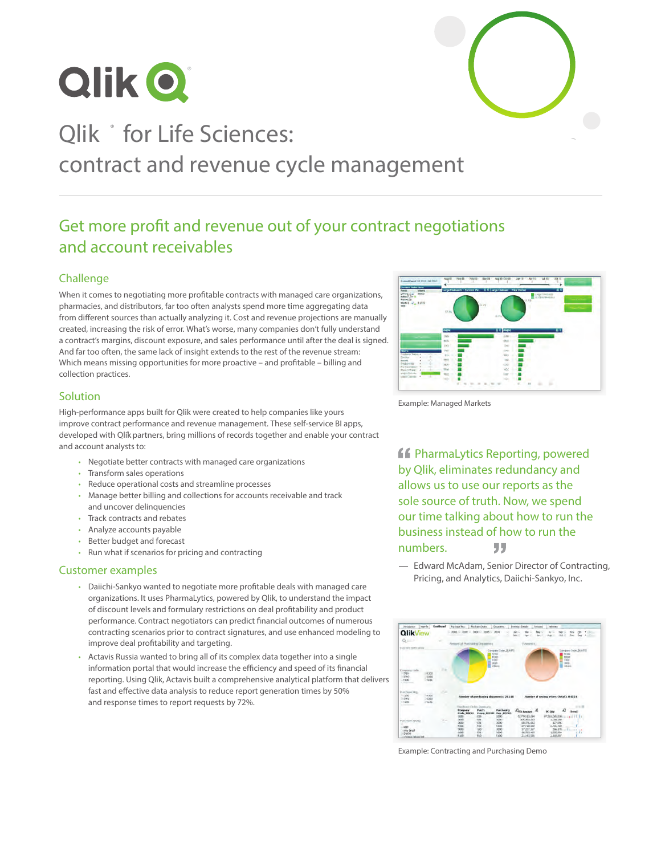



# Qlik \* for Life Sciences: contract and revenue cycle management

### Get more profit and revenue out of your contract negotiations and account receivables

#### Challenge

When it comes to negotiating more profitable contracts with managed care organizations, pharmacies, and distributors, far too often analysts spend more time aggregating data from different sources than actually analyzing it. Cost and revenue projections are manually created, increasing the risk of error. What's worse, many companies don't fully understand a contract's margins, discount exposure, and sales performance until after the deal is signed. And far too often, the same lack of insight extends to the rest of the revenue stream: Which means missing opportunities for more proactive – and profitable – billing and collection practices.

#### Solution

High-performance apps built for Qlik were created to help companies like yours improve contract performance and revenue management. These self-service BI apps, developed with Qlik partners, bring millions of records together and enable your contract and account analysts to:

- Negotiate better contracts with managed care organizations
- Transform sales operations
- Reduce operational costs and streamline processes
- Manage better billing and collections for accounts receivable and track and uncover delinquencies
- Track contracts and rebates
- Analyze accounts payable
- Better budget and forecast
- Run what if scenarios for pricing and contracting

#### Customer examples

- Daiichi-Sankyo wanted to negotiate more profitable deals with managed care organizations. It uses PharmaLytics, powered by Qlik, to understand the impact of discount levels and formulary restrictions on deal profitability and product performance. Contract negotiators can predict financial outcomes of numerous contracting scenarios prior to contract signatures, and use enhanced modeling to improve deal profitability and targeting.
- Actavis Russia wanted to bring all of its complex data together into a single information portal that would increase the efficiency and speed of its financial reporting. Using Qlik, Actavis built a comprehensive analytical platform that delivers fast and effective data analysis to reduce report generation times by 50% and response times to report requests by 72%.



Example: Managed Markets

**ff** PharmaLytics Reporting, powered by Qlik, eliminates redundancy and allows us to use our reports as the sole source of truth. Now, we spend our time talking about how to run the business instead of how to run the numbers. 77

— Edward McAdam, Senior Director of Contracting, Pricing, and Analytics, Daiichi-Sankyo, Inc.



Example: Contracting and Purchasing Demo